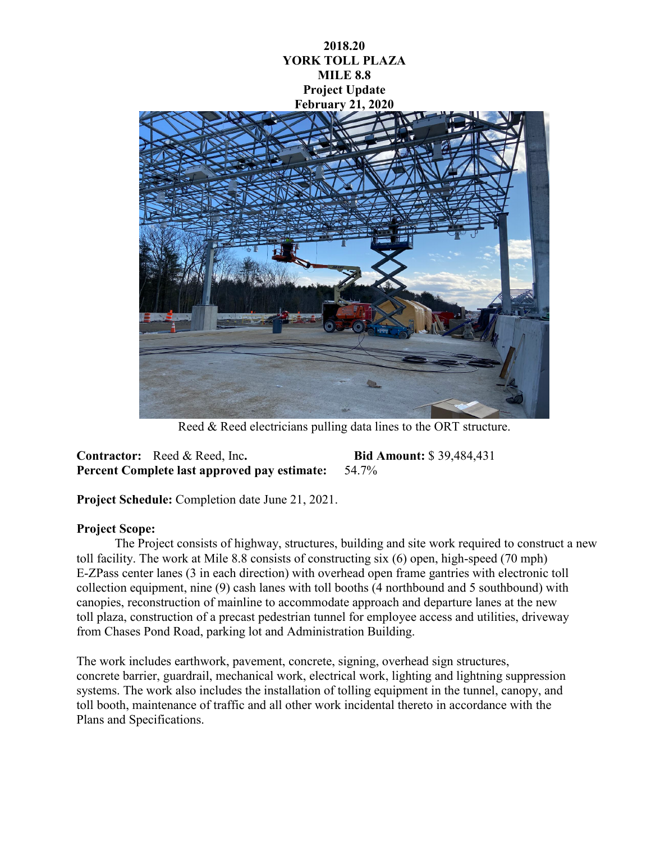## **2018.20 YORK TOLL PLAZA MILE 8.8 Project Update February 21, 2020**



Reed & Reed electricians pulling data lines to the ORT structure.

**Contractor:** Reed & Reed, Inc**. Bid Amount:** \$ 39,484,431 **Percent Complete last approved pay estimate:** 54.7%

**Project Schedule:** Completion date June 21, 2021.

## **Project Scope:**

The Project consists of highway, structures, building and site work required to construct a new toll facility. The work at Mile 8.8 consists of constructing six (6) open, high-speed (70 mph) E-ZPass center lanes (3 in each direction) with overhead open frame gantries with electronic toll collection equipment, nine (9) cash lanes with toll booths (4 northbound and 5 southbound) with canopies, reconstruction of mainline to accommodate approach and departure lanes at the new toll plaza, construction of a precast pedestrian tunnel for employee access and utilities, driveway from Chases Pond Road, parking lot and Administration Building.

The work includes earthwork, pavement, concrete, signing, overhead sign structures, concrete barrier, guardrail, mechanical work, electrical work, lighting and lightning suppression systems. The work also includes the installation of tolling equipment in the tunnel, canopy, and toll booth, maintenance of traffic and all other work incidental thereto in accordance with the Plans and Specifications.